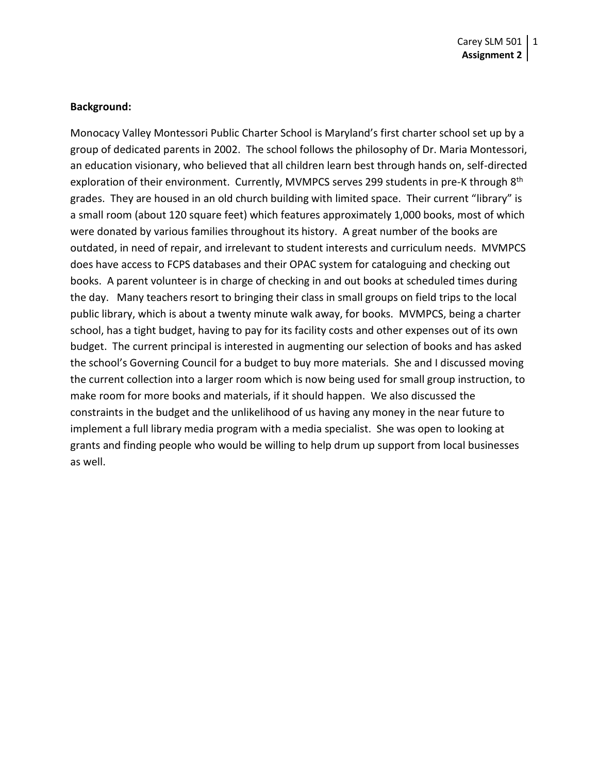#### **Background:**

Monocacy Valley Montessori Public Charter School is Maryland's first charter school set up by a group of dedicated parents in 2002. The school follows the philosophy of Dr. Maria Montessori, an education visionary, who believed that all children learn best through hands on, self-directed exploration of their environment. Currently, MVMPCS serves 299 students in pre-K through 8<sup>th</sup> grades. They are housed in an old church building with limited space. Their current "library" is a small room (about 120 square feet) which features approximately 1,000 books, most of which were donated by various families throughout its history. A great number of the books are outdated, in need of repair, and irrelevant to student interests and curriculum needs. MVMPCS does have access to FCPS databases and their OPAC system for cataloguing and checking out books. A parent volunteer is in charge of checking in and out books at scheduled times during the day. Many teachers resort to bringing their class in small groups on field trips to the local public library, which is about a twenty minute walk away, for books. MVMPCS, being a charter school, has a tight budget, having to pay for its facility costs and other expenses out of its own budget. The current principal is interested in augmenting our selection of books and has asked the school's Governing Council for a budget to buy more materials. She and I discussed moving the current collection into a larger room which is now being used for small group instruction, to make room for more books and materials, if it should happen. We also discussed the constraints in the budget and the unlikelihood of us having any money in the near future to implement a full library media program with a media specialist. She was open to looking at grants and finding people who would be willing to help drum up support from local businesses as well.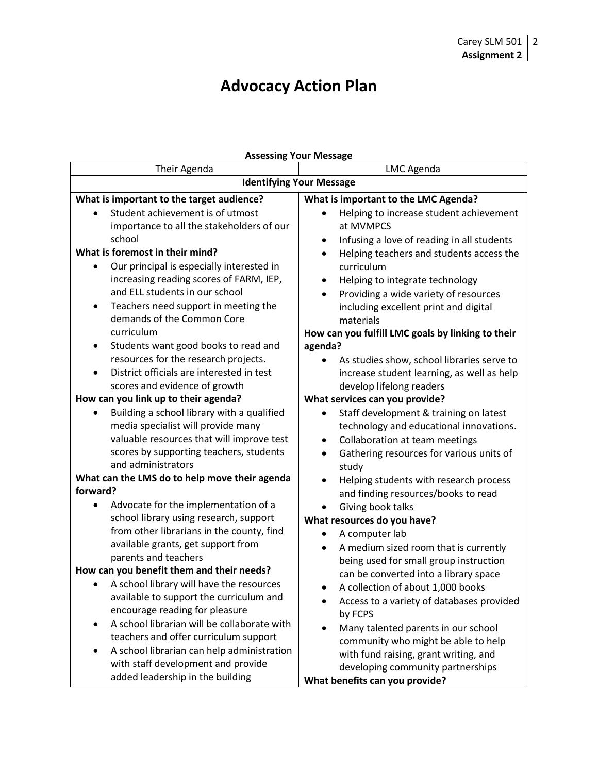# **Advocacy Action Plan**

| <b>Assessing Your Message</b>                                                 |                                                                                        |  |
|-------------------------------------------------------------------------------|----------------------------------------------------------------------------------------|--|
| Their Agenda                                                                  | LMC Agenda                                                                             |  |
| <b>Identifying Your Message</b>                                               |                                                                                        |  |
| What is important to the target audience?                                     | What is important to the LMC Agenda?                                                   |  |
| Student achievement is of utmost<br>importance to all the stakeholders of our | Helping to increase student achievement<br>at MVMPCS                                   |  |
| school                                                                        |                                                                                        |  |
| What is foremost in their mind?                                               | Infusing a love of reading in all students<br>Helping teachers and students access the |  |
| Our principal is especially interested in                                     | curriculum                                                                             |  |
| increasing reading scores of FARM, IEP,                                       | Helping to integrate technology                                                        |  |
| and ELL students in our school                                                | Providing a wide variety of resources<br>$\bullet$                                     |  |
| Teachers need support in meeting the<br>$\bullet$                             | including excellent print and digital                                                  |  |
| demands of the Common Core                                                    | materials                                                                              |  |
| curriculum                                                                    | How can you fulfill LMC goals by linking to their                                      |  |
| Students want good books to read and<br>٠                                     | agenda?                                                                                |  |
| resources for the research projects.                                          | As studies show, school libraries serve to                                             |  |
| District officials are interested in test                                     | increase student learning, as well as help                                             |  |
| scores and evidence of growth                                                 | develop lifelong readers                                                               |  |
| How can you link up to their agenda?                                          | What services can you provide?                                                         |  |
| Building a school library with a qualified                                    | Staff development & training on latest                                                 |  |
| media specialist will provide many                                            | technology and educational innovations.                                                |  |
| valuable resources that will improve test                                     | Collaboration at team meetings<br>$\bullet$                                            |  |
| scores by supporting teachers, students                                       | Gathering resources for various units of<br>$\bullet$                                  |  |
| and administrators                                                            | study                                                                                  |  |
| What can the LMS do to help move their agenda                                 | Helping students with research process<br>$\bullet$                                    |  |
| forward?                                                                      | and finding resources/books to read                                                    |  |
| Advocate for the implementation of a                                          | Giving book talks                                                                      |  |
| school library using research, support                                        | What resources do you have?                                                            |  |
| from other librarians in the county, find                                     | A computer lab                                                                         |  |
| available grants, get support from                                            | A medium sized room that is currently<br>$\bullet$                                     |  |
| parents and teachers                                                          | being used for small group instruction                                                 |  |
| How can you benefit them and their needs?                                     | can be converted into a library space                                                  |  |
| A school library will have the resources                                      | A collection of about 1,000 books                                                      |  |
| available to support the curriculum and                                       | Access to a variety of databases provided                                              |  |
| encourage reading for pleasure                                                | by FCPS                                                                                |  |
| A school librarian will be collaborate with<br>$\bullet$                      | Many talented parents in our school                                                    |  |
| teachers and offer curriculum support                                         | community who might be able to help                                                    |  |
| A school librarian can help administration                                    | with fund raising, grant writing, and                                                  |  |
| with staff development and provide                                            | developing community partnerships                                                      |  |
| added leadership in the building                                              | What benefits can you provide?                                                         |  |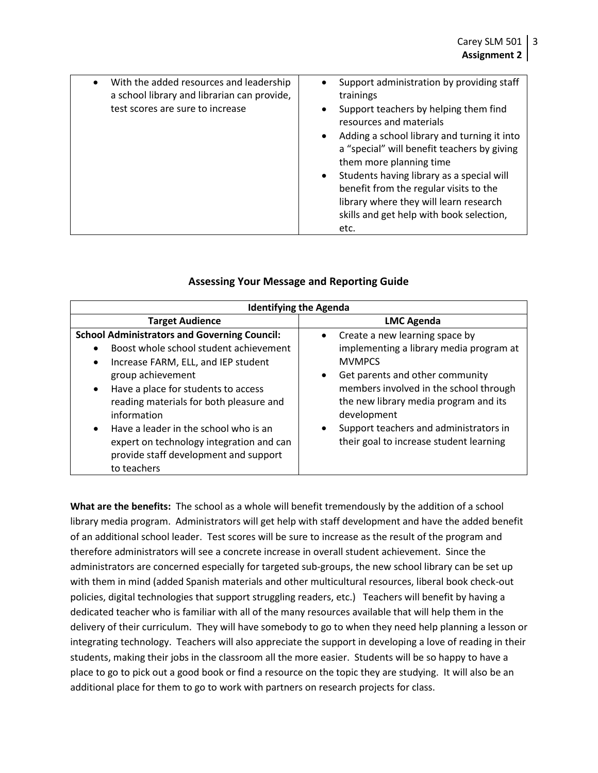| With the added resources and leadership<br>a school library and librarian can provide,<br>test scores are sure to increase | Support administration by providing staff<br>trainings<br>Support teachers by helping them find<br>$\bullet$<br>resources and materials<br>Adding a school library and turning it into<br>a "special" will benefit teachers by giving<br>them more planning time<br>Students having library as a special will<br>benefit from the regular visits to the<br>library where they will learn research<br>skills and get help with book selection,<br>etc. |
|----------------------------------------------------------------------------------------------------------------------------|-------------------------------------------------------------------------------------------------------------------------------------------------------------------------------------------------------------------------------------------------------------------------------------------------------------------------------------------------------------------------------------------------------------------------------------------------------|
|----------------------------------------------------------------------------------------------------------------------------|-------------------------------------------------------------------------------------------------------------------------------------------------------------------------------------------------------------------------------------------------------------------------------------------------------------------------------------------------------------------------------------------------------------------------------------------------------|

# **Assessing Your Message and Reporting Guide**

| <b>Identifying the Agenda</b>                                                                                                                                                                                                                                                                                                                                                                                                                  |                                                                                                                                                                                                                                                                                                                                                             |  |
|------------------------------------------------------------------------------------------------------------------------------------------------------------------------------------------------------------------------------------------------------------------------------------------------------------------------------------------------------------------------------------------------------------------------------------------------|-------------------------------------------------------------------------------------------------------------------------------------------------------------------------------------------------------------------------------------------------------------------------------------------------------------------------------------------------------------|--|
| <b>Target Audience</b>                                                                                                                                                                                                                                                                                                                                                                                                                         | <b>LMC Agenda</b>                                                                                                                                                                                                                                                                                                                                           |  |
| <b>School Administrators and Governing Council:</b><br>Boost whole school student achievement<br>Increase FARM, ELL, and IEP student<br>$\bullet$<br>group achievement<br>Have a place for students to access<br>$\bullet$<br>reading materials for both pleasure and<br>information<br>Have a leader in the school who is an<br>$\bullet$<br>expert on technology integration and can<br>provide staff development and support<br>to teachers | Create a new learning space by<br>$\bullet$<br>implementing a library media program at<br><b>MVMPCS</b><br>Get parents and other community<br>$\bullet$<br>members involved in the school through<br>the new library media program and its<br>development<br>Support teachers and administrators in<br>$\bullet$<br>their goal to increase student learning |  |

**What are the benefits:** The school as a whole will benefit tremendously by the addition of a school library media program. Administrators will get help with staff development and have the added benefit of an additional school leader. Test scores will be sure to increase as the result of the program and therefore administrators will see a concrete increase in overall student achievement. Since the administrators are concerned especially for targeted sub-groups, the new school library can be set up with them in mind (added Spanish materials and other multicultural resources, liberal book check-out policies, digital technologies that support struggling readers, etc.) Teachers will benefit by having a dedicated teacher who is familiar with all of the many resources available that will help them in the delivery of their curriculum. They will have somebody to go to when they need help planning a lesson or integrating technology. Teachers will also appreciate the support in developing a love of reading in their students, making their jobs in the classroom all the more easier. Students will be so happy to have a place to go to pick out a good book or find a resource on the topic they are studying. It will also be an additional place for them to go to work with partners on research projects for class.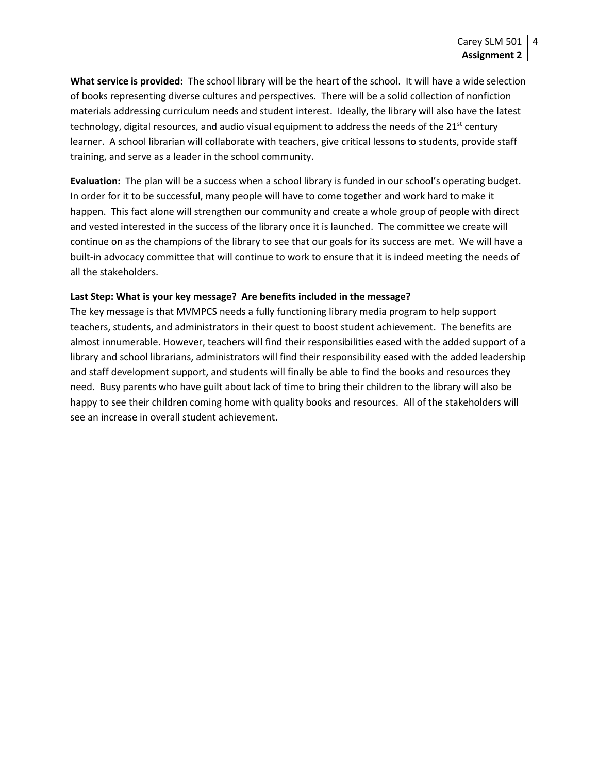**What service is provided:** The school library will be the heart of the school. It will have a wide selection of books representing diverse cultures and perspectives. There will be a solid collection of nonfiction materials addressing curriculum needs and student interest. Ideally, the library will also have the latest technology, digital resources, and audio visual equipment to address the needs of the  $21^{st}$  century learner. A school librarian will collaborate with teachers, give critical lessons to students, provide staff training, and serve as a leader in the school community.

**Evaluation:** The plan will be a success when a school library is funded in our school's operating budget. In order for it to be successful, many people will have to come together and work hard to make it happen. This fact alone will strengthen our community and create a whole group of people with direct and vested interested in the success of the library once it is launched. The committee we create will continue on as the champions of the library to see that our goals for its success are met. We will have a built-in advocacy committee that will continue to work to ensure that it is indeed meeting the needs of all the stakeholders.

#### **Last Step: What is your key message? Are benefits included in the message?**

The key message is that MVMPCS needs a fully functioning library media program to help support teachers, students, and administrators in their quest to boost student achievement. The benefits are almost innumerable. However, teachers will find their responsibilities eased with the added support of a library and school librarians, administrators will find their responsibility eased with the added leadership and staff development support, and students will finally be able to find the books and resources they need. Busy parents who have guilt about lack of time to bring their children to the library will also be happy to see their children coming home with quality books and resources. All of the stakeholders will see an increase in overall student achievement.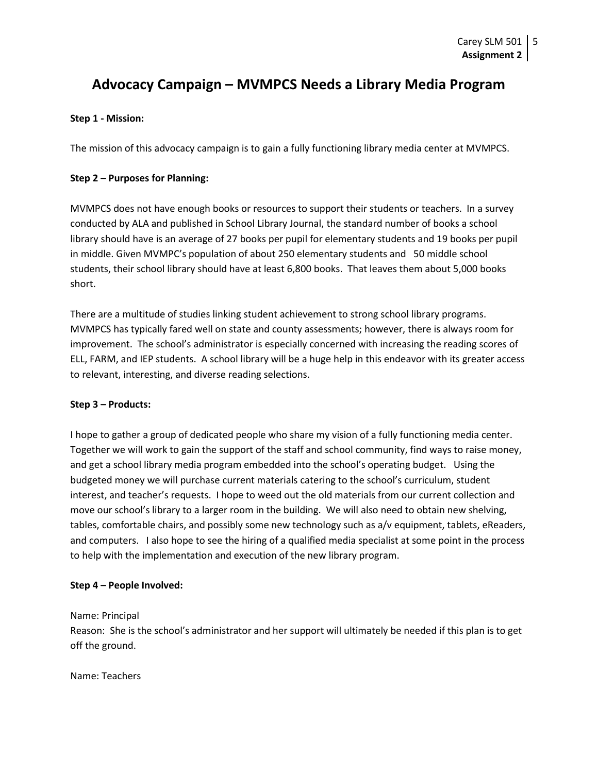# **Advocacy Campaign – MVMPCS Needs a Library Media Program**

#### **Step 1 - Mission:**

The mission of this advocacy campaign is to gain a fully functioning library media center at MVMPCS.

#### **Step 2 – Purposes for Planning:**

MVMPCS does not have enough books or resources to support their students or teachers. In a survey conducted by ALA and published in School Library Journal, the standard number of books a school library should have is an average of 27 books per pupil for elementary students and 19 books per pupil in middle. Given MVMPC's population of about 250 elementary students and 50 middle school students, their school library should have at least 6,800 books. That leaves them about 5,000 books short.

There are a multitude of studies linking student achievement to strong school library programs. MVMPCS has typically fared well on state and county assessments; however, there is always room for improvement. The school's administrator is especially concerned with increasing the reading scores of ELL, FARM, and IEP students. A school library will be a huge help in this endeavor with its greater access to relevant, interesting, and diverse reading selections.

#### **Step 3 – Products:**

I hope to gather a group of dedicated people who share my vision of a fully functioning media center. Together we will work to gain the support of the staff and school community, find ways to raise money, and get a school library media program embedded into the school's operating budget. Using the budgeted money we will purchase current materials catering to the school's curriculum, student interest, and teacher's requests. I hope to weed out the old materials from our current collection and move our school's library to a larger room in the building. We will also need to obtain new shelving, tables, comfortable chairs, and possibly some new technology such as a/v equipment, tablets, eReaders, and computers. I also hope to see the hiring of a qualified media specialist at some point in the process to help with the implementation and execution of the new library program.

#### **Step 4 – People Involved:**

Name: Principal

Reason: She is the school's administrator and her support will ultimately be needed if this plan is to get off the ground.

Name: Teachers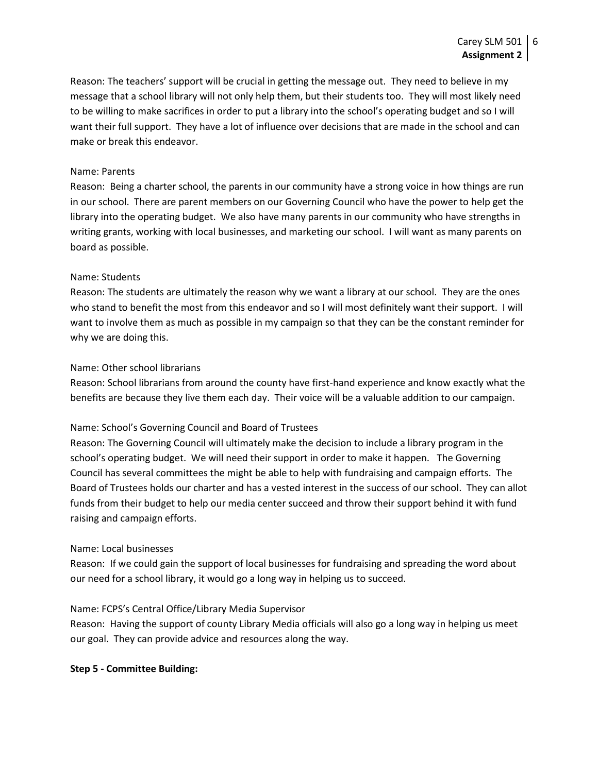Reason: The teachers' support will be crucial in getting the message out. They need to believe in my message that a school library will not only help them, but their students too. They will most likely need to be willing to make sacrifices in order to put a library into the school's operating budget and so I will want their full support. They have a lot of influence over decisions that are made in the school and can make or break this endeavor.

#### Name: Parents

Reason: Being a charter school, the parents in our community have a strong voice in how things are run in our school. There are parent members on our Governing Council who have the power to help get the library into the operating budget. We also have many parents in our community who have strengths in writing grants, working with local businesses, and marketing our school. I will want as many parents on board as possible.

#### Name: Students

Reason: The students are ultimately the reason why we want a library at our school. They are the ones who stand to benefit the most from this endeavor and so I will most definitely want their support. I will want to involve them as much as possible in my campaign so that they can be the constant reminder for why we are doing this.

#### Name: Other school librarians

Reason: School librarians from around the county have first-hand experience and know exactly what the benefits are because they live them each day. Their voice will be a valuable addition to our campaign.

#### Name: School's Governing Council and Board of Trustees

Reason: The Governing Council will ultimately make the decision to include a library program in the school's operating budget. We will need their support in order to make it happen. The Governing Council has several committees the might be able to help with fundraising and campaign efforts. The Board of Trustees holds our charter and has a vested interest in the success of our school. They can allot funds from their budget to help our media center succeed and throw their support behind it with fund raising and campaign efforts.

#### Name: Local businesses

Reason: If we could gain the support of local businesses for fundraising and spreading the word about our need for a school library, it would go a long way in helping us to succeed.

#### Name: FCPS's Central Office/Library Media Supervisor

Reason: Having the support of county Library Media officials will also go a long way in helping us meet our goal. They can provide advice and resources along the way.

#### **Step 5 - Committee Building:**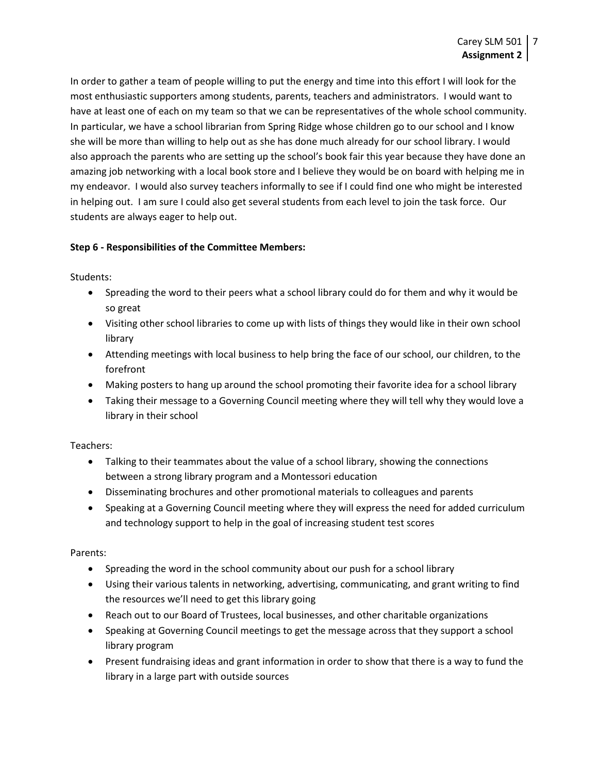In order to gather a team of people willing to put the energy and time into this effort I will look for the most enthusiastic supporters among students, parents, teachers and administrators. I would want to have at least one of each on my team so that we can be representatives of the whole school community. In particular, we have a school librarian from Spring Ridge whose children go to our school and I know she will be more than willing to help out as she has done much already for our school library. I would also approach the parents who are setting up the school's book fair this year because they have done an amazing job networking with a local book store and I believe they would be on board with helping me in my endeavor. I would also survey teachers informally to see if I could find one who might be interested in helping out. I am sure I could also get several students from each level to join the task force. Our students are always eager to help out.

# **Step 6 - Responsibilities of the Committee Members:**

Students:

- Spreading the word to their peers what a school library could do for them and why it would be so great
- Visiting other school libraries to come up with lists of things they would like in their own school library
- Attending meetings with local business to help bring the face of our school, our children, to the forefront
- Making posters to hang up around the school promoting their favorite idea for a school library
- Taking their message to a Governing Council meeting where they will tell why they would love a library in their school

# Teachers:

- Talking to their teammates about the value of a school library, showing the connections between a strong library program and a Montessori education
- Disseminating brochures and other promotional materials to colleagues and parents
- Speaking at a Governing Council meeting where they will express the need for added curriculum and technology support to help in the goal of increasing student test scores

# Parents:

- Spreading the word in the school community about our push for a school library
- Using their various talents in networking, advertising, communicating, and grant writing to find the resources we'll need to get this library going
- Reach out to our Board of Trustees, local businesses, and other charitable organizations
- Speaking at Governing Council meetings to get the message across that they support a school library program
- Present fundraising ideas and grant information in order to show that there is a way to fund the library in a large part with outside sources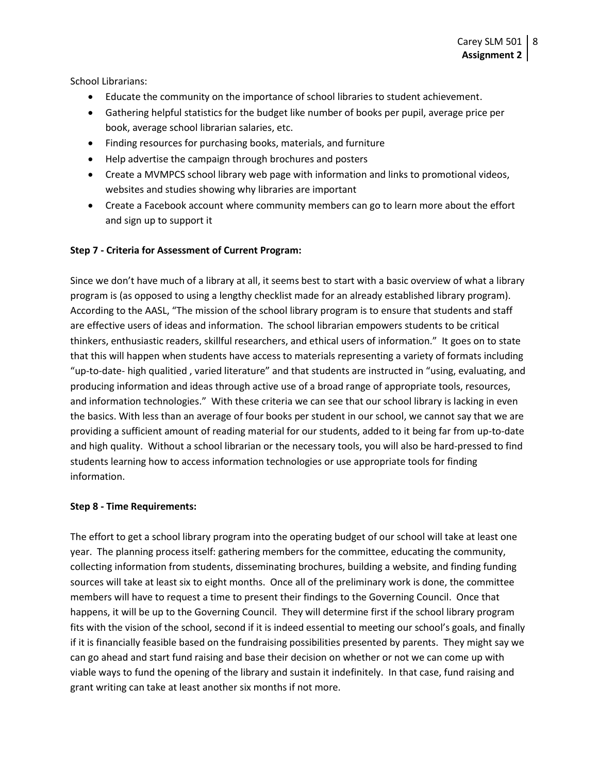School Librarians:

- Educate the community on the importance of school libraries to student achievement.
- Gathering helpful statistics for the budget like number of books per pupil, average price per book, average school librarian salaries, etc.
- Finding resources for purchasing books, materials, and furniture
- Help advertise the campaign through brochures and posters
- Create a MVMPCS school library web page with information and links to promotional videos, websites and studies showing why libraries are important
- Create a Facebook account where community members can go to learn more about the effort and sign up to support it

#### **Step 7 - Criteria for Assessment of Current Program:**

Since we don't have much of a library at all, it seems best to start with a basic overview of what a library program is (as opposed to using a lengthy checklist made for an already established library program). According to the AASL, "The mission of the school library program is to ensure that students and staff are effective users of ideas and information. The school librarian empowers students to be critical thinkers, enthusiastic readers, skillful researchers, and ethical users of information." It goes on to state that this will happen when students have access to materials representing a variety of formats including "up-to-date- high qualitied , varied literature" and that students are instructed in "using, evaluating, and producing information and ideas through active use of a broad range of appropriate tools, resources, and information technologies." With these criteria we can see that our school library is lacking in even the basics. With less than an average of four books per student in our school, we cannot say that we are providing a sufficient amount of reading material for our students, added to it being far from up-to-date and high quality. Without a school librarian or the necessary tools, you will also be hard-pressed to find students learning how to access information technologies or use appropriate tools for finding information.

#### **Step 8 - Time Requirements:**

The effort to get a school library program into the operating budget of our school will take at least one year. The planning process itself: gathering members for the committee, educating the community, collecting information from students, disseminating brochures, building a website, and finding funding sources will take at least six to eight months. Once all of the preliminary work is done, the committee members will have to request a time to present their findings to the Governing Council. Once that happens, it will be up to the Governing Council. They will determine first if the school library program fits with the vision of the school, second if it is indeed essential to meeting our school's goals, and finally if it is financially feasible based on the fundraising possibilities presented by parents. They might say we can go ahead and start fund raising and base their decision on whether or not we can come up with viable ways to fund the opening of the library and sustain it indefinitely. In that case, fund raising and grant writing can take at least another six months if not more.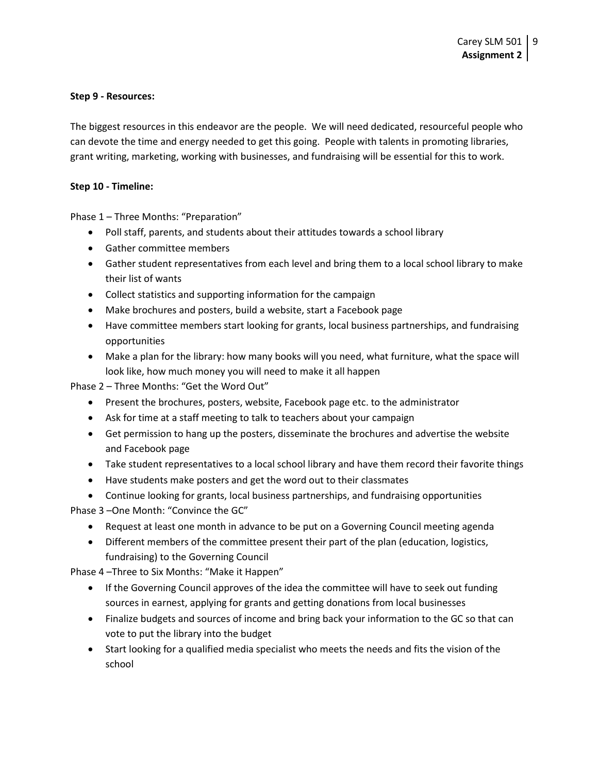#### **Step 9 - Resources:**

The biggest resources in this endeavor are the people. We will need dedicated, resourceful people who can devote the time and energy needed to get this going. People with talents in promoting libraries, grant writing, marketing, working with businesses, and fundraising will be essential for this to work.

#### **Step 10 - Timeline:**

Phase 1 – Three Months: "Preparation"

- Poll staff, parents, and students about their attitudes towards a school library
- Gather committee members
- Gather student representatives from each level and bring them to a local school library to make their list of wants
- Collect statistics and supporting information for the campaign
- Make brochures and posters, build a website, start a Facebook page
- Have committee members start looking for grants, local business partnerships, and fundraising opportunities
- Make a plan for the library: how many books will you need, what furniture, what the space will look like, how much money you will need to make it all happen

Phase 2 – Three Months: "Get the Word Out"

- Present the brochures, posters, website, Facebook page etc. to the administrator
- Ask for time at a staff meeting to talk to teachers about your campaign
- Get permission to hang up the posters, disseminate the brochures and advertise the website and Facebook page
- Take student representatives to a local school library and have them record their favorite things
- Have students make posters and get the word out to their classmates
- Continue looking for grants, local business partnerships, and fundraising opportunities

Phase 3 –One Month: "Convince the GC"

- Request at least one month in advance to be put on a Governing Council meeting agenda
- Different members of the committee present their part of the plan (education, logistics, fundraising) to the Governing Council

Phase 4 –Three to Six Months: "Make it Happen"

- If the Governing Council approves of the idea the committee will have to seek out funding sources in earnest, applying for grants and getting donations from local businesses
- Finalize budgets and sources of income and bring back your information to the GC so that can vote to put the library into the budget
- Start looking for a qualified media specialist who meets the needs and fits the vision of the school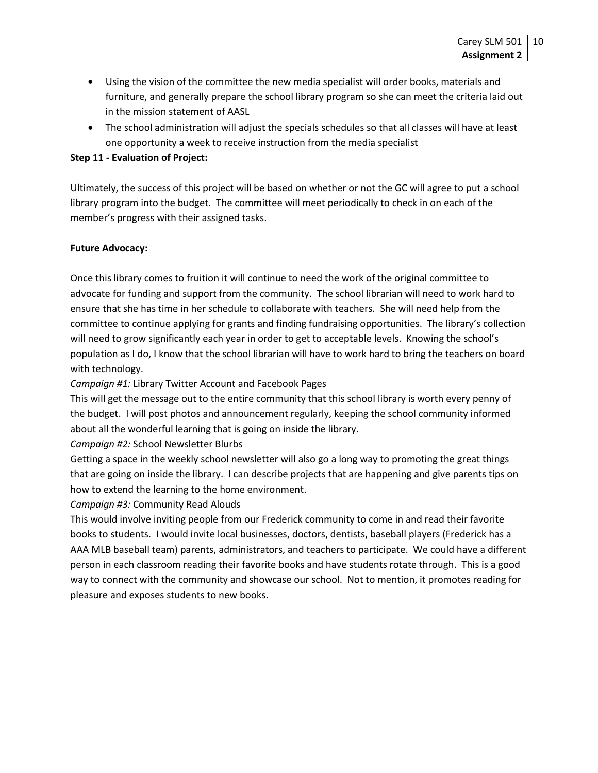- Using the vision of the committee the new media specialist will order books, materials and furniture, and generally prepare the school library program so she can meet the criteria laid out in the mission statement of AASL
- The school administration will adjust the specials schedules so that all classes will have at least one opportunity a week to receive instruction from the media specialist

#### **Step 11 - Evaluation of Project:**

Ultimately, the success of this project will be based on whether or not the GC will agree to put a school library program into the budget. The committee will meet periodically to check in on each of the member's progress with their assigned tasks.

#### **Future Advocacy:**

Once this library comes to fruition it will continue to need the work of the original committee to advocate for funding and support from the community. The school librarian will need to work hard to ensure that she has time in her schedule to collaborate with teachers. She will need help from the committee to continue applying for grants and finding fundraising opportunities. The library's collection will need to grow significantly each year in order to get to acceptable levels. Knowing the school's population as I do, I know that the school librarian will have to work hard to bring the teachers on board with technology.

*Campaign #1:* Library Twitter Account and Facebook Pages

This will get the message out to the entire community that this school library is worth every penny of the budget. I will post photos and announcement regularly, keeping the school community informed about all the wonderful learning that is going on inside the library.

*Campaign #2:* School Newsletter Blurbs

Getting a space in the weekly school newsletter will also go a long way to promoting the great things that are going on inside the library. I can describe projects that are happening and give parents tips on how to extend the learning to the home environment.

*Campaign #3:* Community Read Alouds

This would involve inviting people from our Frederick community to come in and read their favorite books to students. I would invite local businesses, doctors, dentists, baseball players (Frederick has a AAA MLB baseball team) parents, administrators, and teachers to participate. We could have a different person in each classroom reading their favorite books and have students rotate through. This is a good way to connect with the community and showcase our school. Not to mention, it promotes reading for pleasure and exposes students to new books.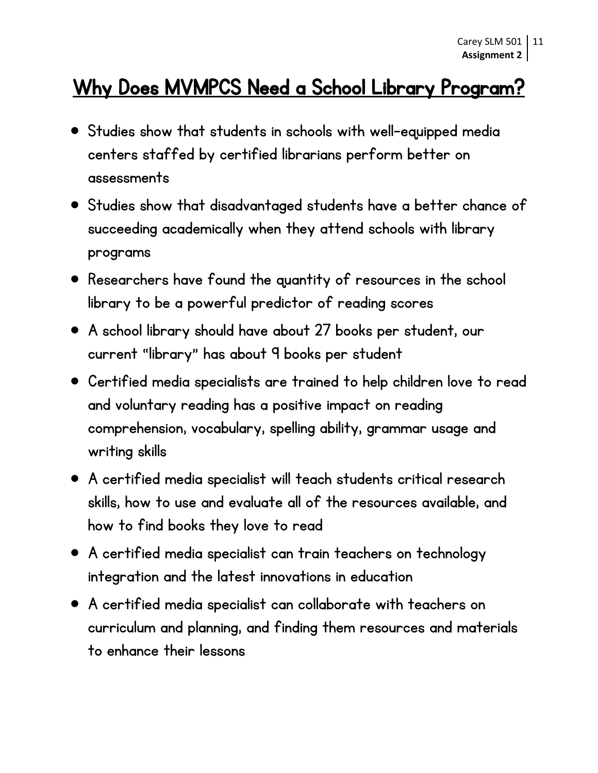# Why Does MVMPCS Need a School Library Program?

- Studies show that students in schools with well-equipped media centers staffed by certified librarians perform better on assessments
- Studies show that disadvantaged students have a better chance of succeeding academically when they attend schools with library programs
- Researchers have found the quantity of resources in the school library to be a powerful predictor of reading scores
- A school library should have about 27 books per student, our current "library" has about 9 books per student
- Certified media specialists are trained to help children love to read and voluntary reading has a positive impact on reading comprehension, vocabulary, spelling ability, grammar usage and writing skills
- A certified media specialist will teach students critical research skills, how to use and evaluate all of the resources available, and how to find books they love to read
- A certified media specialist can train teachers on technology integration and the latest innovations in education
- A certified media specialist can collaborate with teachers on curriculum and planning, and finding them resources and materials to enhance their lessons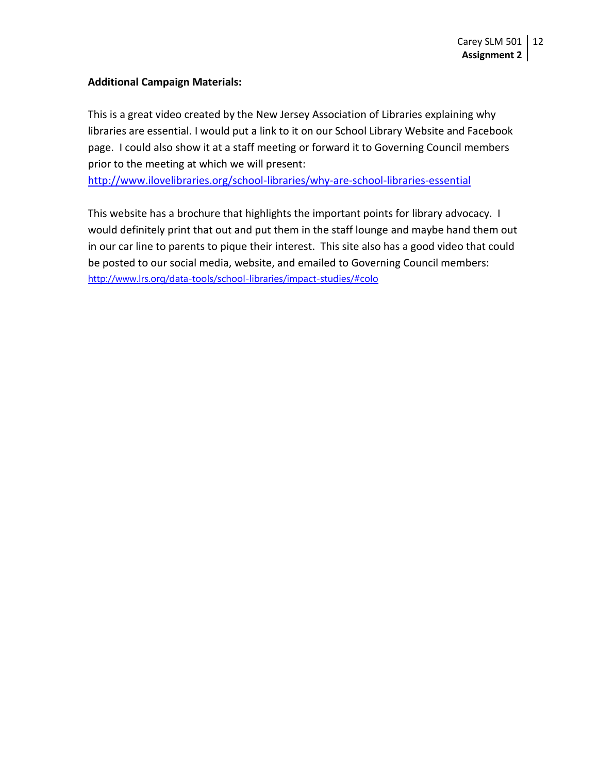# **Additional Campaign Materials:**

This is a great video created by the New Jersey Association of Libraries explaining why libraries are essential. I would put a link to it on our School Library Website and Facebook page. I could also show it at a staff meeting or forward it to Governing Council members prior to the meeting at which we will present:

<http://www.ilovelibraries.org/school-libraries/why-are-school-libraries-essential>

This website has a brochure that highlights the important points for library advocacy. I would definitely print that out and put them in the staff lounge and maybe hand them out in our car line to parents to pique their interest. This site also has a good video that could be posted to our social media, website, and emailed to Governing Council members: <http://www.lrs.org/data-tools/school-libraries/impact-studies/#colo>